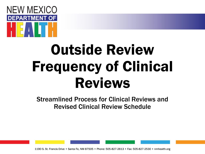

# Outside Review Frequency of Clinical Reviews

Streamlined Process for Clinical Reviews and Revised Clinical Review Schedule

1190 S. St. Francis Drive • Santa Fe, NM 87505 • Phone: 505-827-2613 • Fax: 505-827-2530 • nmhealth.org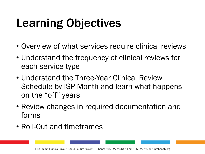## Learning Objectives

- Overview of what services require clinical reviews
- Understand the frequency of clinical reviews for each service type
- Understand the Three-Year Clinical Review Schedule by ISP Month and learn what happens on the "off" years
- Review changes in required documentation and forms
- Roll-Out and timeframes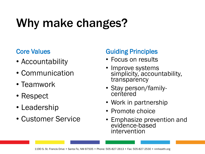### Why make changes?

#### Core Values

- Accountability
- Communication
- Teamwork
- Respect
- Leadership
- Customer Service

#### Guiding Principles

- Focus on results
- Improve systems simplicity, accountability, transparency
- Stay person/familycentered
- Work in partnership
- Promote choice
- Emphasize prevention and evidence-based intervention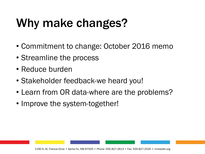### Why make changes?

- Commitment to change: October 2016 memo
- Streamline the process
- Reduce burden
- Stakeholder feedback-we heard you!
- Learn from OR data-where are the problems?
- Improve the system-together!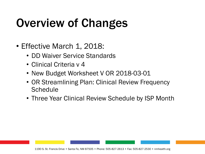### Overview of Changes

- Effective March 1, 2018:
	- DD Waiver Service Standards
	- Clinical Criteria v 4
	- New Budget Worksheet V OR 2018-03-01
	- OR Streamlining Plan: Clinical Review Frequency Schedule
	- Three Year Clinical Review Schedule by ISP Month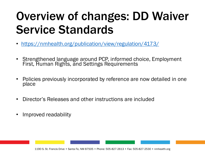### Overview of changes: DD Waiver Service Standards

- <https://nmhealth.org/publication/view/regulation/4173/>
- Strengthened language around PCP, informed choice, Employment First, Human Rights, and Settings Requirements
- Policies previously incorporated by reference are now detailed in one place
- Director's Releases and other instructions are included
- Improved readability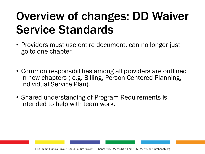### Overview of changes: DD Waiver Service Standards

- Providers must use entire document, can no longer just go to one chapter.
- Common responsibilities among all providers are outlined in new chapters ( e.g. Billing, Person Centered Planning, Individual Service Plan).
- Shared understanding of Program Requirements is intended to help with team work.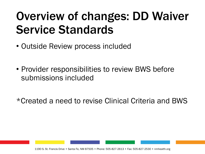### Overview of changes: DD Waiver Service Standards

- Outside Review process included
- Provider responsibilities to review BWS before submissions included

\*Created a need to revise Clinical Criteria and BWS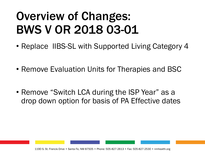### Overview of Changes: BWS V OR 2018 03-01

- Replace IIBS-SL with Supported Living Category 4
- Remove Evaluation Units for Therapies and BSC
- Remove "Switch LCA during the ISP Year" as a drop down option for basis of PA Effective dates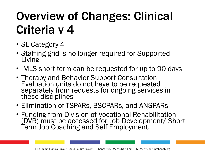### Overview of Changes: Clinical Criteria v 4

- SL Category 4
- Staffing grid is no longer required for Supported Living
- IMLS short term can be requested for up to 90 days
- Therapy and Behavior Support Consultation Evaluation units do not have to be requested separately from requests for ongoing services in these disciplines
- Elimination of TSPARs, BSCPARs, and ANSPARs
- Funding from Division of Vocational Rehabilitation (DVR) must be accessed for Job Development/ Short Term Job Coaching and Self Employment.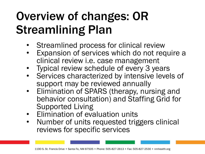### Overview of changes: OR Streamlining Plan

- Streamlined process for clinical review
- Expansion of services which do not require a clinical review i.e. case management
- Typical review schedule of every 3 years
- Services characterized by intensive levels of support may be reviewed annually
- Elimination of SPARS (therapy, nursing and behavior consultation) and Staffing Grid for Supported Living
- Elimination of evaluation units
- Number of units requested triggers clinical reviews for specific services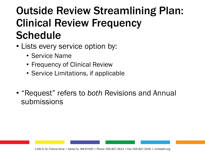- Lists every service option by:
	- Service Name
	- Frequency of Clinical Review
	- Service Limitations, if applicable
- "Request" refers to *both* Revisions and Annual submissions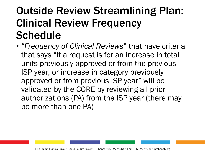• "*Frequency of Clinical Reviews*" that have criteria that says "If a request is for an increase in total units previously approved or from the previous ISP year, or increase in category previously approved or from previous ISP year" will be validated by the CORE by reviewing all prior authorizations (PA) from the ISP year (there may be more than one PA)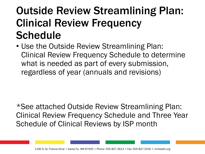• Use the Outside Review Streamlining Plan: Clinical Review Frequency Schedule to determine what is needed as part of every submission, regardless of year (annuals and revisions)

\*See attached Outside Review Streamlining Plan: Clinical Review Frequency Schedule and Three Year Schedule of Clinical Reviews by ISP month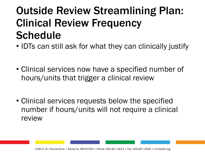- IDTs can still ask for what they can clinically justify
- Clinical services now have a specified number of hours/units that trigger a clinical review
- Clinical services requests below the specified number if hours/units will not require a clinical review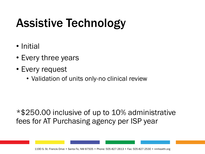### Assistive Technology

- Initial
- Every three years
- Every request
	- Validation of units only-no clinical review

\*\$250.00 inclusive of up to 10% administrative fees for AT Purchasing agency per ISP year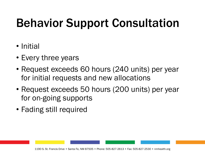### Behavior Support Consultation

- Initial
- Every three years
- Request exceeds 60 hours (240 units) per year for initial requests and new allocations
- Request exceeds 50 hours (200 units) per year for on-going supports
- Fading still required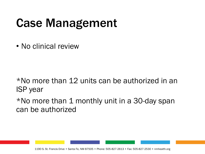### Case Management

• No clinical review

\*No more than 12 units can be authorized in an ISP year

 $*$ No more than 1 monthly unit in a 30-day span can be authorized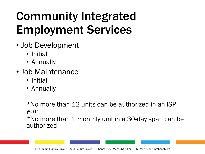- Job Development
	- Initial
	- Annually
- Job Maintenance
	- Initial
	- Annually

\*No more than 12 units can be authorized in an ISP year

\*No more than 1 monthly unit in a 30-day span can be authorized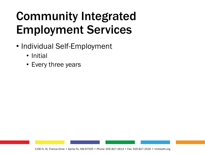- Individual Self-Employment
	- Initial
	- Every three years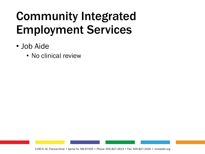- Job Aide
	- No clinical review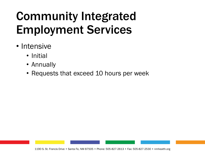- Intensive
	- Initial
	- Annually
	- Requests that exceed 10 hours per week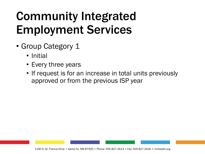- Group Category 1
	- Initial
	- Every three years
	- If request is for an increase in total units previously approved or from the previous ISP year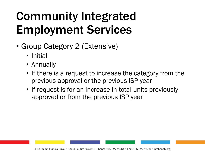- Group Category 2 (Extensive)
	- Initial
	- Annually
	- If there is a request to increase the category from the previous approval or the previous ISP year
	- If request is for an increase in total units previously approved or from the previous ISP year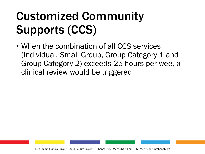• When the combination of all CCS services (Individual, Small Group, Group Category 1 and Group Category 2) exceeds 25 hours per wee, a clinical review would be triggered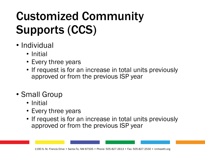- Individual
	- Initial
	- Every three years
	- If request is for an increase in total units previously approved or from the previous ISP year
- Small Group
	- Initial
	- Every three years
	- If request is for an increase in total units previously approved or from the previous ISP year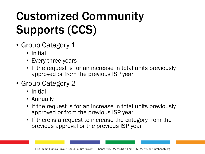- Group Category 1
	- Initial
	- Every three years
	- If the request is for an increase in total units previously approved or from the previous ISP year
- Group Category 2
	- Initial
	- Annually
	- If the request is for an increase in total units previously approved or from the previous ISP year
	- If there is a request to increase the category from the previous approval or the previous ISP year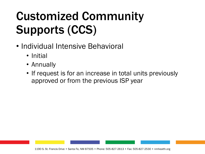- Individual Intensive Behavioral
	- Initial
	- Annually
	- If request is for an increase in total units previously approved or from the previous ISP year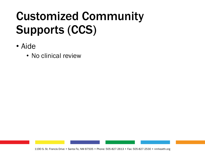- Aide
	- No clinical review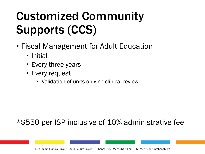- Fiscal Management for Adult Education
	- Initial
	- Every three years
	- Every request
		- Validation of units only-no clinical review

#### \*\$550 per ISP inclusive of 10% administrative fee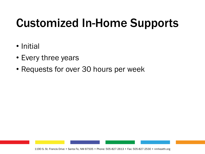### Customized In-Home Supports

- Initial
- Every three years
- Requests for over 30 hours per week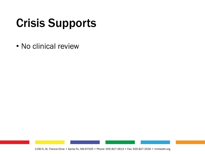### Crisis Supports

• No clinical review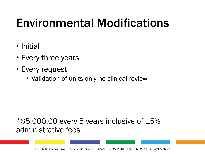### Environmental Modifications

- Initial
- Every three years
- Every request
	- Validation of units only-no clinical review

#### \*\$5,000.00 every 5 years inclusive of 15% administrative fees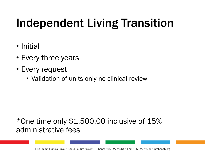### Independent Living Transition

- Initial
- Every three years
- Every request
	- Validation of units only-no clinical review

#### \*One time only \$1,500.00 inclusive of 15% administrative fees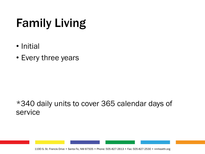### Family Living

- Initial
- Every three years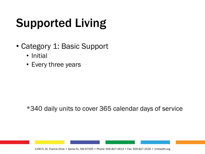- Category 1: Basic Support
	- Initial
	- Every three years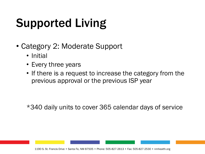- Category 2: Moderate Support
	- Initial
	- Every three years
	- If there is a request to increase the category from the previous approval or the previous ISP year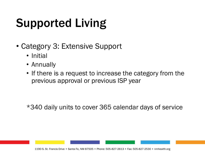- Category 3: Extensive Support
	- Initial
	- Annually
	- If there is a request to increase the category from the previous approval or previous ISP year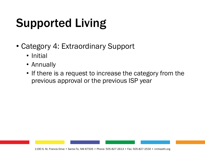- Category 4: Extraordinary Support
	- Initial
	- Annually
	- If there is a request to increase the category from the previous approval or the previous ISP year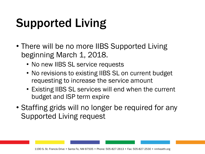- There will be no more IIBS Supported Living beginning March 1, 2018.
	- No new IIBS SL service requests
	- No revisions to existing IIBS SL on current budget requesting to increase the service amount
	- Existing IIBS SL services will end when the current budget and ISP term expire
- Staffing grids will no longer be required for any Supported Living request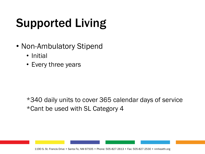- Non-Ambulatory Stipend
	- Initial
	- Every three years

\*340 daily units to cover 365 calendar days of service \*Cant be used with SL Category 4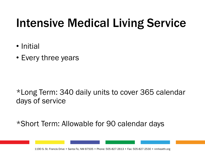### Intensive Medical Living Service

- Initial
- Every three years

\*Long Term: 340 daily units to cover 365 calendar days of service

\*Short Term: Allowable for 90 calendar days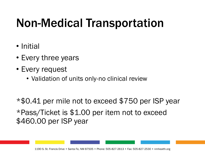### Non-Medical Transportation

- Initial
- Every three years
- Every request
	- Validation of units only-no clinical review

\*\$0.41 per mile not to exceed \$750 per ISP year \*Pass/Ticket is \$1.00 per item not to exceed \$460.00 per ISP year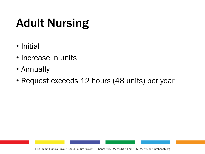### Adult Nursing

- Initial
- Increase in units
- Annually
- Request exceeds 12 hours (48 units) per year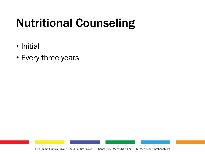### Nutritional Counseling

- Initial
- Every three years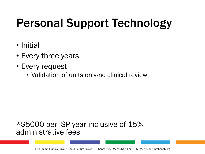### Personal Support Technology

- Initial
- Every three years
- Every request
	- Validation of units only-no clinical review

#### \*\$5000 per ISP year inclusive of 15% administrative fees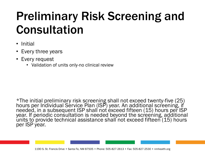### Preliminary Risk Screening and Consultation

- Initial
- Every three years
- Every request
	- Validation of units only-no clinical review

\*The initial preliminary risk screening shall not exceed twenty-five (25) hours per Individual Service Plan (ISP) year. An additional screening, if needed, in a subsequent ISP shall not exceed fifteen (15) hours per ISP year. If periodic consultation is needed beyond the screening, additional units to provide technical assistance shall not exceed fifteen (15) hours per ISP year.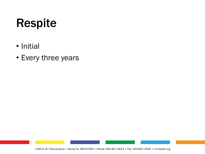### Respite

- Initial
- Every three years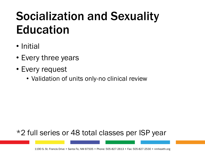### Socialization and Sexuality Education

- Initial
- Every three years
- Every request
	- Validation of units only-no clinical review

#### \*2 full series or 48 total classes per ISP year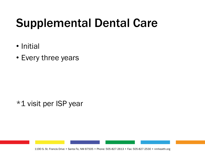### Supplemental Dental Care

- Initial
- Every three years

\*1 visit per ISP year

1190 S. St. Francis Drive • Santa Fe, NM 87505 • Phone: 505-827-2613 • Fax: 505-827-2530 • nmhealth.org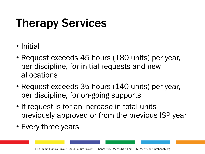### Therapy Services

- Initial
- Request exceeds 45 hours (180 units) per year, per discipline, for initial requests and new allocations
- Request exceeds 35 hours (140 units) per year, per discipline, for on-going supports
- If request is for an increase in total units previously approved or from the previous ISP year
- Every three years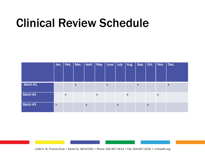### Clinical Review Schedule

|          | Jan.                      |                           | Feb.   Mar.        | <b>April</b>     | <b>May</b>                | $ $ June         | July             | Aug. | $\vert$ Sep. $\vert$ Oct. $\vert$ Nov. |                  |   | $\vert$ Dec.     |
|----------|---------------------------|---------------------------|--------------------|------------------|---------------------------|------------------|------------------|------|----------------------------------------|------------------|---|------------------|
| Batch #1 |                           |                           | $\pmb{\mathsf{X}}$ |                  |                           | $\boldsymbol{X}$ |                  |      | X                                      |                  |   | $\boldsymbol{X}$ |
| Batch #2 |                           | $\boldsymbol{\mathsf{X}}$ |                    |                  | $\boldsymbol{\mathsf{X}}$ |                  |                  | X    |                                        |                  | X |                  |
| Batch #3 | $\boldsymbol{\mathsf{X}}$ |                           |                    | $\boldsymbol{X}$ |                           |                  | $\boldsymbol{X}$ |      |                                        | $\boldsymbol{X}$ |   |                  |

1190 S. St. Francis Drive • Santa Fe, NM 87505 • Phone: 505-827-2613 • Fax: 505-827-2530 • nmhealth.org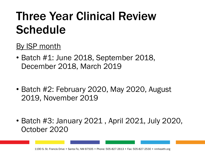### Three Year Clinical Review Schedule

#### By ISP month

- Batch #1: June 2018, September 2018, December 2018, March 2019
- Batch #2: February 2020, May 2020, August 2019, November 2019
- Batch #3: January 2021 , April 2021, July 2020, October 2020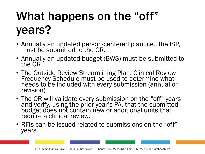## What happens on the "off" years?

- Annually an updated person-centered plan, i.e., the ISP, must be submitted to the OR.
- Annually an updated budget (BWS) must be submitted to the OR.
- The Outside Review Streamlining Plan: Clinical Review Frequency Schedule must be used to determine what needs to be included with every submission (annual or revision)
- The OR will validate every submission on the "off" years and verify, using the prior year's PA, that the submitted budget does not contain new or additional units that require a clinical review.
- RFIs can be issued related to submissions on the "off" years.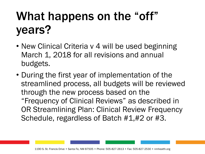### What happens on the "off" years?

- New Clinical Criteria v 4 will be used beginning March 1, 2018 for all revisions and annual budgets.
- During the first year of implementation of the streamlined process, all budgets will be reviewed through the new process based on the "Frequency of Clinical Reviews" as described in OR Streamlining Plan: Clinical Review Frequency Schedule, regardless of Batch #1,#2 or #3.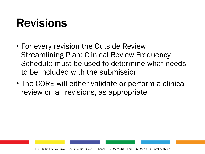### Revisions

- For every revision the Outside Review Streamlining Plan: Clinical Review Frequency Schedule must be used to determine what needs to be included with the submission
- The CORE will either validate or perform a clinical review on all revisions, as appropriate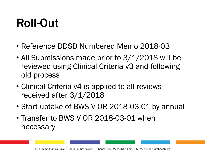### Roll-Out

- Reference DDSD Numbered Memo 2018-03
- All Submissions made prior to 3/1/2018 will be reviewed using Clinical Criteria v3 and following old process
- Clinical Criteria v4 is applied to all reviews received after 3/1/2018
- Start uptake of BWS V OR 2018-03-01 by annual
- Transfer to BWS V OR 2018-03-01 when necessary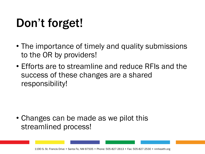### Don't forget!

- The importance of timely and quality submissions to the OR by providers!
- Efforts are to streamline and reduce RFIs and the success of these changes are a shared responsibility!

• Changes can be made as we pilot this streamlined process!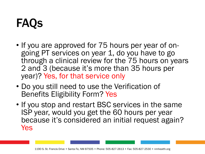- If you are approved for 75 hours per year of ongoing PT services on year 1, do you have to go through a clinical review for the 75 hours on years 2 and 3 (because it's more than 35 hours per year)? Yes, for that service only
- Do you still need to use the Verification of Benefits Eligibility Form? Yes
- If you stop and restart BSC services in the same ISP year, would you get the 60 hours per year because it's considered an initial request again? Yes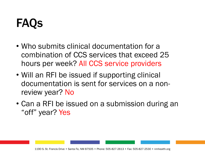- Who submits clinical documentation for a combination of CCS services that exceed 25 hours per week? All CCS service providers
- Will an RFI be issued if supporting clinical documentation is sent for services on a nonreview year? No
- Can a RFI be issued on a submission during an "off" year? Yes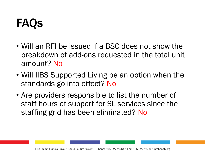- Will an RFI be issued if a BSC does not show the breakdown of add-ons requested in the total unit amount? No
- Will IIBS Supported Living be an option when the standards go into effect? No
- Are providers responsible to list the number of staff hours of support for SL services since the staffing grid has been eliminated? No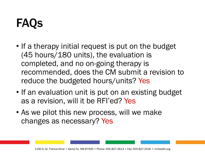- If a therapy initial request is put on the budget (45 hours/180 units), the evaluation is completed, and no on-going therapy is recommended, does the CM submit a revision to reduce the budgeted hours/units? Yes
- If an evaluation unit is put on an existing budget as a revision, will it be RFI'ed? Yes
- As we pilot this new process, will we make changes as necessary? Yes